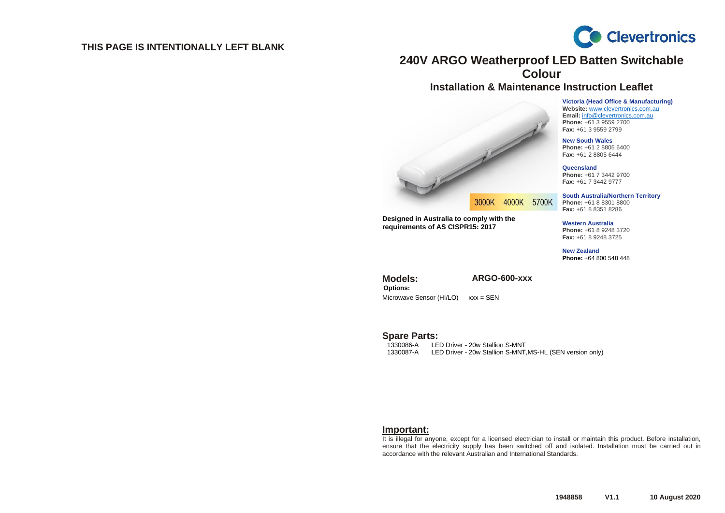### **THIS PAGE IS INTENTIONALLY LEFT BLANK**



# **240V ARGO Weatherproof LED Batten Switchable Colour**

## **Installation & Maintenance Instruction Leaflet**

**Victoria (Head Office & Manufacturing) Website:** [www.clevertronics.com.au](http://www.clevertronics.com.au/) **Email:** info@clevertronics.com.au **Phone:** +61 3 9559 2700 **Fax:** +61 3 9559 2799

**New South Wales Phone:** +61 2 8805 6400 **Fax:** +61 2 8805 6444

**Queensland Phone:** +61 7 3442 9700 **Fax:** +61 7 3442 9777

**South Australia/Northern Territory Phone:** +61 8 8301 8800 **Fax:** +61 8 8351 8286

**Western Australia Phone:** +61 8 9248 3720 **Fax:** +61 8 9248 3725

**New Zealand Phone:** +64 800 548 448

3000K 4000K 5700K

**Designed in Australia to comply with the requirements of AS CISPR15: 2017**

**Options:**

**Models: ARGO-600-xxx** 

Microwave Sensor (HI/LO) xxx = SEN

Spare Parts:

LED Driver - 20w Stallion S-MNT 1330087-A LED Driver - 20w Stallion S-MNT,MS-HL (SEN version only)

### **Important:**

It is illegal for anyone, except for a licensed electrician to install or maintain this product. Before installation, ensure that the electricity supply has been switched off and isolated. Installation must be carried out in accordance with the relevant Australian and International Standards.